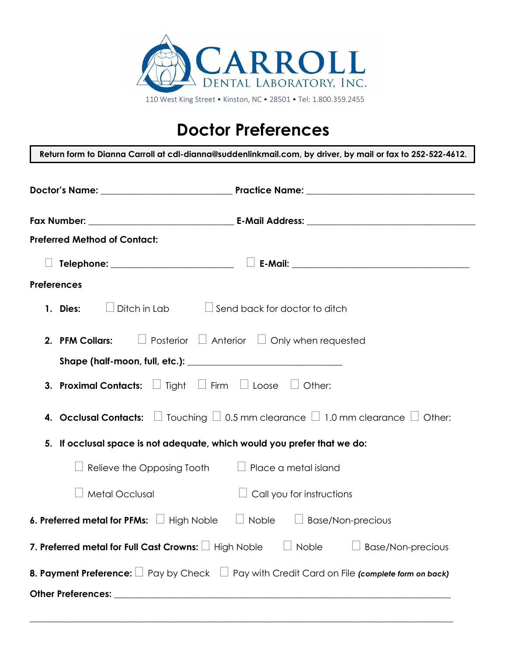

## **Doctor Preferences**

**Return form to Dianna Carroll at cdl-dianna@suddenlinkmail.com, by driver, by mail or fax to 252-522-4612. Doctor's Name:** \_\_\_\_\_\_\_\_\_\_\_\_\_\_\_\_\_\_\_\_\_\_\_\_\_\_\_\_\_ **Practice Name:** \_\_\_\_\_\_\_\_\_\_\_\_\_\_\_\_\_\_\_\_\_\_\_\_\_\_\_\_\_\_\_\_\_\_\_\_\_ **Fax Number:** \_\_\_\_\_\_\_\_\_\_\_\_\_\_\_\_\_\_\_\_\_\_\_\_\_\_\_\_\_\_\_\_ **E-Mail Address:** \_\_\_\_\_\_\_\_\_\_\_\_\_\_\_\_\_\_\_\_\_\_\_\_\_\_\_\_\_\_\_\_\_\_\_\_\_ **Preferred Method of Contact: Telephone:** \_\_\_\_\_\_\_\_\_\_\_\_\_\_\_\_\_\_\_\_\_\_\_\_\_\_\_ **E-Mail:** \_\_\_\_\_\_\_\_\_\_\_\_\_\_\_\_\_\_\_\_\_\_\_\_\_\_\_\_\_\_\_\_\_\_\_\_\_\_\_ **Preferences 1. Dies:**  $\Box$  Ditch in Lab  $\Box$  Send back for doctor to ditch **2. PFM Collars:**  $\Box$  Posterior  $\Box$  Anterior  $\Box$  Only when requested **Shape (half-moon, full, etc.): \_\_\_\_\_\_\_\_\_\_\_\_\_\_\_\_\_\_\_\_\_\_\_\_\_\_\_\_\_\_\_\_\_\_ 3. Proximal Contacts:**  $\Box$  Tight  $\Box$  Firm  $\Box$  Loose  $\Box$  Other: **4. Occlusal Contacts:**  $\Box$  Touching  $\Box$  0.5 mm clearance  $\Box$  1.0 mm clearance  $\Box$  Other: **5. If occlusal space is not adequate, which would you prefer that we do:**  $\Box$  Relieve the Opposing Tooth  $\Box$  Place a metal island  $\Box$  Metal Occlusal  $\Box$  Call you for instructions **6. Preferred metal for PFMs:**  $\Box$  High Noble  $\Box$  Noble  $\Box$  Base/Non-precious **7. Preferred metal for Full Cast Crowns:**  $\Box$  High Noble  $\Box$  Noble  $\Box$  Base/Non-precious **8. Payment Preference:**  $\Box$  Pay by Check  $\Box$  Pay with Credit Card on File *(complete form on back)* **Other Preferences: \_\_\_\_\_\_\_\_\_\_\_\_\_\_\_\_\_\_\_\_\_\_\_\_\_\_\_\_\_\_\_\_\_\_\_\_\_\_\_\_\_\_\_\_\_\_\_\_\_\_\_\_\_\_\_\_\_\_\_\_\_\_\_\_\_\_\_\_\_\_\_\_\_\_**

**\_\_\_\_\_\_\_\_\_\_\_\_\_\_\_\_\_\_\_\_\_\_\_\_\_\_\_\_\_\_\_\_\_\_\_\_\_\_\_\_\_\_\_\_\_\_\_\_\_\_\_\_\_\_\_\_\_\_\_\_\_\_\_\_\_\_\_\_\_\_\_\_\_\_\_\_\_\_\_\_\_\_\_\_\_\_\_\_\_\_\_\_\_**